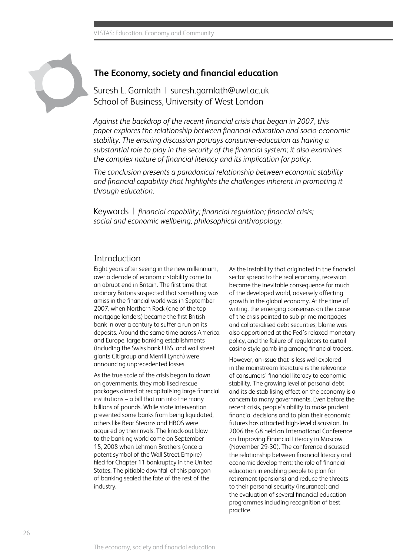## **The Economy, society and financial education**

Suresh L. Gamlath | suresh.gamlath@uwl.ac.uk School of Business, University of West London

*Against the backdrop of the recent financial crisis that began in 2007, this paper explores the relationship between financial education and socio-economic stability. The ensuing discussion portrays consumer-education as having a substantial role to play in the security of the financial system; it also examines the complex nature of financial literacy and its implication for policy.* 

*The conclusion presents a paradoxical relationship between economic stability and financial capability that highlights the challenges inherent in promoting it through education.*

Keywords | *financial capability; financial regulation; financial crisis; social and economic wellbeing; philosophical anthropology.*

### Introduction

Eight years after seeing in the new millennium, over a decade of economic stability came to an abrupt end in Britain. The first time that ordinary Britons suspected that something was amiss in the financial world was in September 2007, when Northern Rock (one of the top mortgage lenders) became the first British bank in over a century to suffer a run on its deposits. Around the same time across America and Europe, large banking establishments (including the Swiss bank UBS, and wall street giants Citigroup and Merrill Lynch) were announcing unprecedented losses.

As the true scale of the crisis began to dawn on governments, they mobilised rescue packages aimed at recapitalising large financial institutions – a bill that ran into the many billions of pounds. While state intervention prevented some banks from being liquidated, others like Bear Stearns and HBOS were acquired by their rivals. The knock-out blow to the banking world came on September 15, 2008 when Lehman Brothers (once a potent symbol of the Wall Street Empire) filed for Chapter 11 bankruptcy in the United States. The pitiable downfall of this paragon of banking sealed the fate of the rest of the industry.

As the instability that originated in the financial sector spread to the real economy, recession became the inevitable consequence for much of the developed world, adversely affecting growth in the global economy. At the time of writing, the emerging consensus on the cause of the crisis pointed to sub-prime mortgages and collateralised debt securities; blame was also apportioned at the Fed's relaxed monetary policy, and the failure of regulators to curtail casino-style gambling among financial traders.

However, an issue that is less well explored in the mainstream literature is the relevance of consumers' financial literacy to economic stability. The growing level of personal debt and its de-stabilising effect on the economy is a concern to many governments. Even before the recent crisis, people's ability to make prudent financial decisions and to plan their economic futures has attracted high-level discussion. In 2006 the G8 held an International Conference on Improving Financial Literacy in Moscow (November 29-30). The conference discussed the relationship between financial literacy and economic development; the role of financial education in enabling people to plan for retirement (pensions) and reduce the threats to their personal security (insurance); and the evaluation of several financial education programmes including recognition of best practice.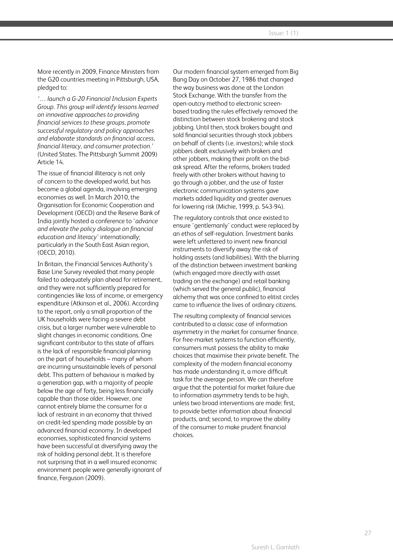More recently in 2009, Finance Ministers from the G20 countries meeting in Pittsburgh, USA, pledged to:

*'… launch a G-20 Financial Inclusion Experts Group. This group will identify lessons learned on innovative approaches to providing financial services to these groups, promote successful regulatory and policy approaches and elaborate standards on financial access, financial literacy, and consumer protection.'* (United States. The Pittsburgh Summit 2009) Article 14.

The issue of financial illiteracy is not only of concern to the developed world, but has become a global agenda, involving emerging economies as well. In March 2010, the Organisation for Economic Cooperation and Development (OECD) and the Reserve Bank of India jointly hosted a conference to '*advance and elevate the policy dialogue on financial education and literacy'* internationally; particularly in the South East Asian region, (OECD, 2010).

In Britain, the Financial Services Authority's Base Line Survey revealed that many people failed to adequately plan ahead for retirement, and they were not sufficiently prepared for contingencies like loss of income, or emergency expenditure (Atkinson et al., 2006). According to the report, only a small proportion of the UK households were facing a severe debt crisis, but a larger number were vulnerable to slight changes in economic conditions. One significant contributor to this state of affairs is the lack of responsible financial planning on the part of households – many of whom are incurring unsustainable levels of personal debt. This pattern of behaviour is marked by a generation gap, with a majority of people below the age of forty, being less financially capable than those older. However, one cannot entirely blame the consumer for a lack of restraint in an economy that thrived on credit-led spending made possible by an advanced financial economy. In developed economies, sophisticated financial systems have been successful at diversifying away the risk of holding personal debt. It is therefore not surprising that in a well insured economic environment people were generally ignorant of finance, Ferguson (2009).

Our modern financial system emerged from Big Bang Day on October 27, 1986 that changed the way business was done at the London Stock Exchange. With the transfer from the open-outcry method to electronic screenbased trading the rules effectively removed the distinction between stock brokering and stock jobbing. Until then, stock brokers bought and sold financial securities through stock jobbers on behalf of clients (i.e. investors); while stock jobbers dealt exclusively with brokers and other jobbers, making their profit on the bidask spread. After the reforms, brokers traded freely with other brokers without having to go through a jobber, and the use of faster electronic communication systems gave markets added liquidity and greater avenues for lowering risk (Michie, 1999, p. 543-94).

The regulatory controls that once existed to ensure 'gentlemanly' conduct were replaced by an ethos of self-regulation. Investment banks were left unfettered to invent new financial instruments to diversify away the risk of holding assets (and liabilities). With the blurring of the distinction between investment banking (which engaged more directly with asset trading on the exchange) and retail banking (which served the general public), financial alchemy that was once confined to elitist circles came to influence the lives of ordinary citizens.

The resulting complexity of financial services contributed to a classic case of information asymmetry in the market for consumer finance. For free-market systems to function efficiently, consumers must possess the ability to make choices that maximise their private benefit. The complexity of the modern financial economy has made understanding it, a more difficult task for the average person. We can therefore argue that the potential for market failure due to information asymmetry tends to be high, unless two broad interventions are made: first, to provide better information about financial products, and; second, to improve the ability of the consumer to make prudent financial choices.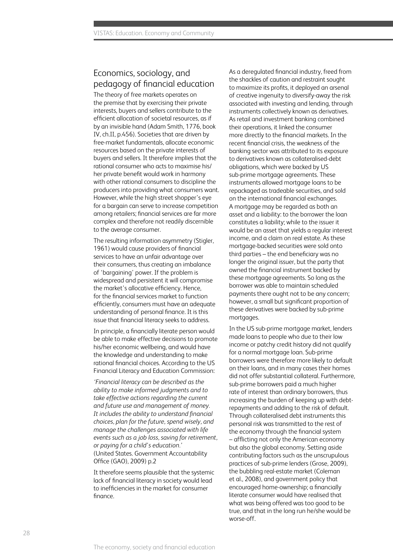# Economics, sociology, and pedagogy of financial education

The theory of free markets operates on the premise that by exercising their private interests, buyers and sellers contribute to the efficient allocation of societal resources, as if by an invisible hand (Adam Smith, 1776, book IV, ch.II, p.456). Societies that are driven by free-market fundamentals, allocate economic resources based on the private interests of buyers and sellers. It therefore implies that the rational consumer who acts to maximise his/ her private benefit would work in harmony with other rational consumers to discipline the producers into providing what consumers want. However, while the high street shopper's eye for a bargain can serve to increase competition among retailers; financial services are far more complex and therefore not readily discernible to the average consumer.

The resulting information asymmetry (Stigler, 1961) would cause providers of financial services to have an unfair advantage over their consumers, thus creating an imbalance of 'bargaining' power. If the problem is widespread and persistent it will compromise the market's allocative efficiency. Hence, for the financial services market to function efficiently, consumers must have an adequate understanding of personal finance. It is this issue that financial literacy seeks to address.

In principle, a financially literate person would be able to make effective decisions to promote his/her economic wellbeing, and would have the knowledge and understanding to make rational financial choices. According to the US Financial Literacy and Education Commission:

*'Financial literacy can be described as the ability to make informed judgments and to take effective actions regarding the current and future use and management of money. It includes the ability to understand financial choices, plan for the future, spend wisely, and manage the challenges associated with life events such as a job loss, saving for retirement, or paying for a child's education.'* (United States. Government Accountability Office (GAO), 2009) p.2

It therefore seems plausible that the systemic lack of financial literacy in society would lead to inefficiencies in the market for consumer finance.

As a deregulated financial industry, freed from the shackles of caution and restraint sought to maximize its profits, it deployed an arsenal of creative ingenuity to diversify-away the risk associated with investing and lending, through instruments collectively known as derivatives. As retail and investment banking combined their operations, it linked the consumer more directly to the financial markets. In the recent financial crisis, the weakness of the banking sector was attributed to its exposure to derivatives known as collateralised-debt obligations, which were backed by US sub-prime mortgage agreements. These instruments allowed mortgage loans to be repackaged as tradeable securities, and sold on the international financial exchanges. A mortgage may be regarded as both an asset and a liability: to the borrower the loan constitutes a liability; while to the issuer it would be an asset that yields a regular interest income, and a claim on real estate. As these mortgage-backed securities were sold onto third parties – the end beneficiary was no longer the original issuer, but the party that owned the financial instrument backed by these mortgage agreements. So long as the borrower was able to maintain scheduled payments there ought not to be any concern; however, a small but significant proportion of these derivatives were backed by sub-prime mortgages.

In the US sub-prime mortgage market, lenders made loans to people who due to their low income or patchy credit history did not qualify for a normal mortgage loan. Sub-prime borrowers were therefore more likely to default on their loans, and in many cases their homes did not offer substantial collateral. Furthermore, sub-prime borrowers paid a much higher rate of interest than ordinary borrowers, thus increasing the burden of keeping up with debtrepayments and adding to the risk of default. Through collateralised debt instruments this personal risk was transmitted to the rest of the economy through the financial system – afflicting not only the American economy but also the global economy. Setting aside contributing factors such as the unscrupulous practices of sub-prime lenders (Grose, 2009), the bubbling real-estate market (Coleman et al., 2008), and government policy that encouraged home-ownership; a financially literate consumer would have realised that what was being offered was too good to be true, and that in the long run he/she would be worse-off.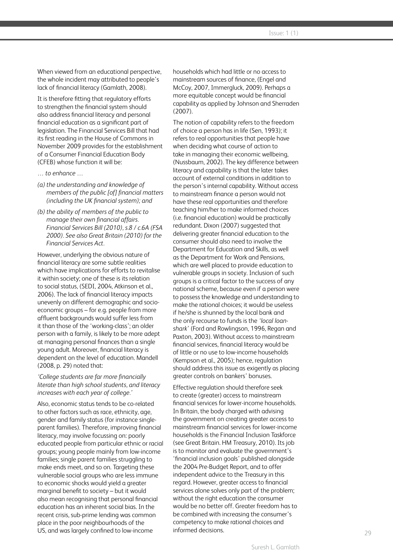When viewed from an educational perspective, the whole incident may attributed to people's lack of financial literacy (Gamlath, 2008).

It is therefore fitting that regulatory efforts to strengthen the financial system should also address financial literacy and personal financial education as a significant part of legislation. The Financial Services Bill that had its first reading in the House of Commons in November 2009 provides for the establishment of a Consumer Financial Education Body (CFEB) whose function it will be:

- *… to enhance …*
- *(a) the understanding and knowledge of members of the public [of] financial matters (including the UK financial system); and*
- *(b) the ability of members of the public to manage their own financial affairs. Financial Services Bill (2010), s.8 / c.6A (FSA 2000). See also Great Britain (2010) for the Financial Services Act.*

However, underlying the obvious nature of financial literacy are some subtle realities which have implications for efforts to revitalise it within society; one of these is its relation to social status, (SEDI, 2004, Atkinson et al., 2006). The lack of financial literacy impacts unevenly on different demographic and socioeconomic groups – for e.g. people from more affluent backgrounds would suffer less from it than those of the 'working-class'; an older person with a family, is likely to be more adept at managing personal finances than a single young adult. Moreover, financial literacy is dependent on the level of education. Mandell (2008, p. 29) noted that:

*'College students are far more financially literate than high school students, and literacy increases with each year of college.'*

Also, economic status tends to be co-related to other factors such as race, ethnicity, age, gender and family status (for instance singleparent families). Therefore, improving financial literacy, may involve focussing on: poorly educated people from particular ethnic or racial groups; young people mainly from low-income families; single parent families struggling to make ends meet, and so on. Targeting these vulnerable social groups who are less immune to economic shocks would yield a greater marginal benefit to society – but it would also mean recognising that personal financial education has an inherent social bias. In the recent crisis, sub-prime lending was common place in the poor neighbourhoods of the US, and was largely confined to low-income

households which had little or no access to mainstream sources of finance, (Engel and McCoy, 2007, Immergluck, 2009). Perhaps a more equitable concept would be financial capability as applied by Johnson and Sherraden (2007).

The notion of capability refers to the freedom of choice a person has in life (Sen, 1993); it refers to real opportunities that people have when deciding what course of action to take in managing their economic wellbeing, (Nussbaum, 2002). The key difference between literacy and capability is that the later takes account of external conditions in addition to the person's internal capability. Without access to mainstream finance a person would not have these real opportunities and therefore teaching him/her to make informed choices (i.e. financial education) would be practically redundant. Dixon (2007) suggested that delivering greater financial education to the consumer should also need to involve the Department for Education and Skills, as well as the Department for Work and Pensions, which are well placed to provide education to vulnerable groups in society. Inclusion of such groups is a critical factor to the success of any national scheme, because even if a person were to possess the knowledge and understanding to make the rational choices; it would be useless if he/she is shunned by the local bank and the only recourse to funds is the *'local loanshark'* (Ford and Rowlingson, 1996, Regan and Paxton, 2003). Without access to mainstream financial services, financial literacy would be of little or no use to low-income households (Kempson et al., 2005); hence, regulation should address this issue as exigently as placing greater controls on bankers' bonuses.

Effective regulation should therefore seek to create (greater) access to mainstream financial services for lower-income households. In Britain, the body charged with advising the government on creating greater access to mainstream financial services for lower-income households is the Financial Inclusion Taskforce (see Great Britain. HM Treasury, 2010). Its job is to monitor and evaluate the government's 'financial inclusion goals' published alongside the 2004 Pre-Budget Report, and to offer independent advice to the Treasury in this regard. However, greater access to financial services alone solves only part of the problem; without the right education the consumer would be no better off. Greater freedom has to be combined with increasing the consumer's competency to make rational choices and informed decisions.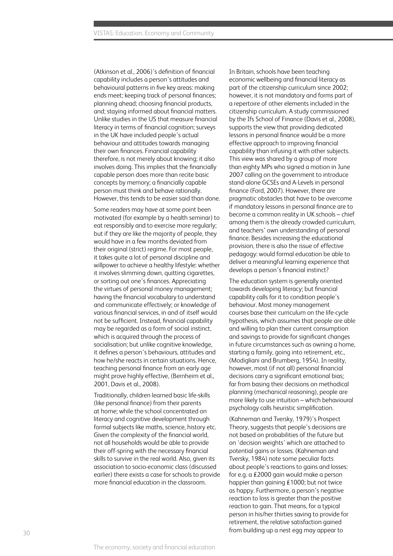(Atkinson et al., 2006)'s definition of financial capability includes a person's attitudes and behavioural patterns in five key areas: making ends meet; keeping track of personal finances; planning ahead; choosing financial products, and; staying informed about financial matters. Unlike studies in the US that measure financial literacy in terms of financial cognition; surveys in the UK have included people's actual behaviour and attitudes towards managing their own finances. Financial capability therefore, is not merely about knowing; it also involves doing. This implies that the financially capable person does more than recite basic concepts by memory; a financially capable person must think and behave rationally. However, this tends to be easier said than done.

Some readers may have at some point been motivated (for example by a health seminar) to eat responsibly and to exercise more regularly; but if they are like the majority of people, they would have in a few months deviated from their original (strict) regime. For most people, it takes quite a lot of personal discipline and willpower to achieve a healthy lifestyle: whether it involves slimming down, quitting cigarettes, or sorting out one's finances. Appreciating the virtues of personal money management; having the financial vocabulary to understand and communicate effectively; or knowledge of various financial services, in and of itself would not be sufficient. Instead, financial capability may be regarded as a form of social instinct, which is acquired through the process of socialisation; but unlike cognitive knowledge, it defines a person's behaviours, attitudes and how he/she reacts in certain situations. Hence, teaching personal finance from an early age might prove highly effective, (Bernheim et al., 2001, Davis et al., 2008).

Traditionally, children learned basic life-skills (like personal finance) from their parents at home; while the school concentrated on literacy and cognitive development through formal subjects like maths, science, history etc. Given the complexity of the financial world, not all households would be able to provide their off-spring with the necessary financial skills to survive in the real world. Also, given its association to socio-economic class (discussed earlier) there exists a case for schools to provide more financial education in the classroom.

In Britain, schools have been teaching economic wellbeing and financial literacy as part of the citizenship curriculum since 2002; however, it is not mandatory and forms part of a repertoire of other elements included in the citizenship curriculum. A study commissioned by the Ifs School of Finance (Davis et al., 2008), supports the view that providing dedicated lessons in personal finance would be a more effective approach to improving financial capability than infusing it with other subjects. This view was shared by a group of more than eighty MPs who signed a motion in June 2007 calling on the government to introduce stand-alone GCSEs and A-Levels in personal finance (Ford, 2007). However, there are pragmatic obstacles that have to be overcome if mandatory lessons in personal finance are to become a common reality in UK schools – chief among them is the already crowded curriculum, and teachers' own understanding of personal finance. Besides increasing the educational provision, there is also the issue of effective pedagogy: would formal education be able to deliver a meaningful learning experience that develops a person's financial instinct?

The education system is generally oriented towards developing literacy; but financial capability calls for it to condition people's behaviour. Most money management courses base their curriculum on the life-cycle hypothesis, which assumes that people are able and willing to plan their current consumption and savings to provide for significant changes in future circumstances such as owning a home, starting a family, going into retirement, etc., (Modigliani and Brumberg, 1954). In reality, however, most (if not all) personal financial decisions carry a significant emotional bias; far from basing their decisions on methodical planning (mechanical reasoning), people are more likely to use intuition – which behavioural psychology calls heuristic simplification.

(Kahneman and Tversky, 1979)'s Prospect Theory, suggests that people's decisions are not based on probabilities of the future but on 'decision weights' which are attached to potential gains or losses. (Kahneman and Tversky, 1984) note some peculiar facts about people's reactions to gains and losses: for e.g. a £2000 gain would make a person happier than gaining £1000; but not twice as happy. Furthermore, a person's negative reaction to loss is greater than the positive reaction to gain. That means, for a typical person in his/her thirties saving to provide for retirement, the relative satisfaction gained from building up a nest egg may appear to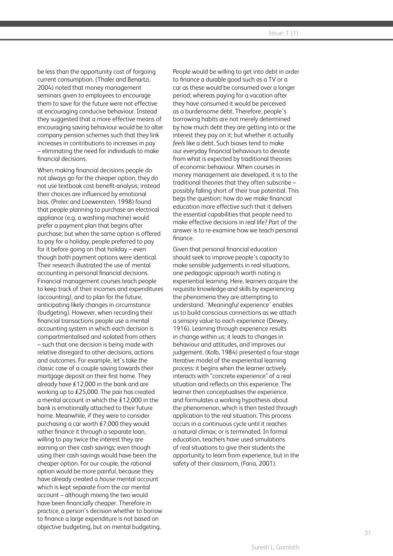be less than the opportunity cost of forgoing current consumption. (Thaler and Benartzi, 2004) noted that money management seminars given to employees to encourage them to save for the future were not effective at encouraging conducive behaviour. Instead they suggested that a more effective means of encouraging saving behaviour would be to alter company pension schemes such that they link increases in contributions to increases in pay – eliminating the need for individuals to make financial decisions.

When making financial decisions people do not always go for the cheaper option, they do not use textbook cost-benefit-analysis; instead their choices are influenced by emotional bias. (Prelec and Loewenstein, 1998) found that people planning to purchase an electrical appliance (e.g. a washing machine) would prefer a payment plan that begins after purchase; but when the same option is offered to pay for a holiday, people preferred to pay for it before going on that holiday – even though both payment options were identical. Their research illustrated the use of mental accounting in personal financial decisions. Financial management courses teach people to keep track of their incomes and expenditures (accounting), and to plan for the future, anticipating likely changes in circumstance (budgeting). However, when recording their financial transactions people use a mental accounting system in which each decision is compartmentalised and isolated from others – such that one decision is being made with relative disregard to other decisions, actions and outcomes. For example, let's take the classic case of a couple saving towards their mortgage deposit on their first home. They already have £12,000 in the bank and are working up to £25,000. The pair has created a mental account in which the £12,000 in the bank is emotionally attached to their future home. Meanwhile, if they were to consider purchasing a car worth £7,000 they would rather finance it through a separate loan, willing to pay twice the interest they are earning on their cash savings; even though using their cash savings would have been the cheaper option. For our couple, the rational option would be more painful, because they have already created a *house* mental account which is kept separate from the *car* mental account – although mixing the two would have been financially cheaper. Therefore in practice, a person's decision whether to borrow to finance a large expenditure is not based on objective budgeting, but on mental budgeting.

People would be willing to get into debt in order to finance a durable good such as a TV or a car as these would be consumed over a longer period; whereas paying for a vacation after they have consumed it would be perceived as a burdensome debt. Therefore, people's borrowing habits are not merely determined by how much debt they are getting into or the interest they pay on it; but whether it actually *feels* like a debt. Such biases tend to make our everyday financial behaviours to deviate from what is expected by traditional theories of economic behaviour. When courses in money management are developed, it is to the traditional theories that they often subscribe – possibly falling short of their true potential. This begs the question: how do we make financial education more effective such that it delivers the essential capabilities that people need to make effective decisions in real life? Part of the answer is to re-examine how we teach personal finance.

Given that personal financial education should seek to improve people's capacity to make sensible judgements in real situations, one pedagogic approach worth noting is experiential learning. Here, learners acquire the requisite knowledge and skills by experiencing the phenomena they are attempting to understand. 'Meaningful experience' enables us to build conscious connections as we attach a sensory value to each experience (Dewey, 1916). Learning through experience results in change within us; it leads to changes in behaviour and attitudes, and improves our judgement. (Kolb, 1984) presented a four-stage iterative model of the experiential learning process: it begins when the learner actively interacts with "concrete experience" of a real situation and reflects on this experience. The learner then conceptualises the experience, and formulates a working hypothesis about the phenomenon, which is then tested through application to the real situation. This process occurs in a continuous cycle until it reaches a natural climax; or is terminated. In formal education, teachers have used simulations of real situations to give their students the opportunity to learn from experience, but in the safety of their classroom, (Faria, 2001).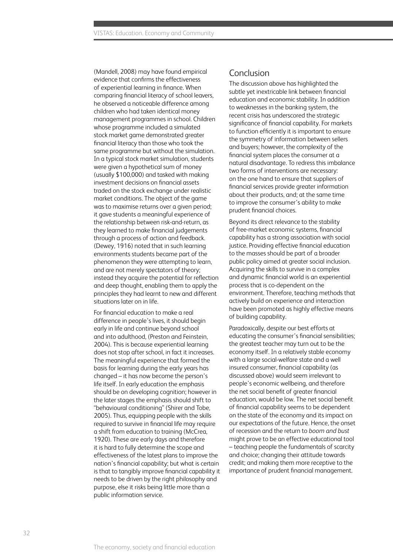(Mandell, 2008) may have found empirical evidence that confirms the effectiveness of experiential learning in finance. When comparing financial literacy of school leavers, he observed a noticeable difference among children who had taken identical money management programmes in school. Children whose programme included a simulated stock market game demonstrated greater financial literacy than those who took the same programme but without the simulation. In a typical stock market simulation, students were given a hypothetical sum of money (usually \$100,000) and tasked with making investment decisions on financial assets traded on the stock exchange under realistic market conditions. The object of the game was to maximise returns over a given period; it gave students a meaningful experience of the relationship between risk-and-return, as they learned to make financial judgements through a process of action and feedback. (Dewey, 1916) noted that in such learning environments students became part of the phenomenon they were attempting to learn, and are not merely spectators of theory; instead they acquire the potential for reflection and deep thought, enabling them to apply the principles they had learnt to new and different situations later on in life.

For financial education to make a real difference in people's lives, it should begin early in life and continue beyond school and into adulthood, (Preston and Feinstein, 2004). This is because experiential learning does not stop after school, in fact it increases. The meaningful experience that formed the basis for learning during the early years has changed – it has now become the person's life itself. In early education the emphasis should be on developing cognition; however in the later stages the emphasis should shift to "behavioural conditioning" (Shirer and Tobe, 2005). Thus, equipping people with the skills required to survive in financial life may require a shift from education to training (McCrea, 1920). These are early days and therefore it is hard to fully determine the scope and effectiveness of the latest plans to improve the nation's financial capability; but what is certain is that to tangibly improve financial capability it needs to be driven by the right philosophy and purpose, else it risks being little more than a public information service.

### Conclusion

The discussion above has highlighted the subtle yet inextricable link between financial education and economic stability. In addition to weaknesses in the banking system, the recent crisis has underscored the strategic significance of financial capability. For markets to function efficiently it is important to ensure the symmetry of information between sellers and buyers; however, the complexity of the financial system places the consumer at a natural disadvantage. To redress this imbalance two forms of interventions are necessary: on the one hand to ensure that suppliers of financial services provide greater information about their products, and; at the same time to improve the consumer's ability to make prudent financial choices.

Beyond its direct relevance to the stability of free-market economic systems, financial capability has a strong association with social justice. Providing effective financial education to the masses should be part of a broader public policy aimed at greater social inclusion. Acquiring the skills to survive in a complex and dynamic financial world is an experiential process that is co-dependent on the environment. Therefore, teaching methods that actively build on experience and interaction have been promoted as highly effective means of building capability.

Paradoxically, despite our best efforts at educating the consumer's financial sensibilities; the greatest teacher may turn out to be the economy itself. In a relatively stable economy with a large social-welfare state and a well insured consumer, financial capability (as discussed above) would seem irrelevant to people's economic wellbeing, and therefore the net social benefit of greater financial education, would be low. The net social benefit of financial capability seems to be dependent on the state of the economy and its impact on our expectations of the future. Hence, the onset of recession and the return to *boom and bust* might prove to be an effective educational tool – teaching people the fundamentals of scarcity and choice; changing their attitude towards credit; and making them more receptive to the importance of prudent financial management.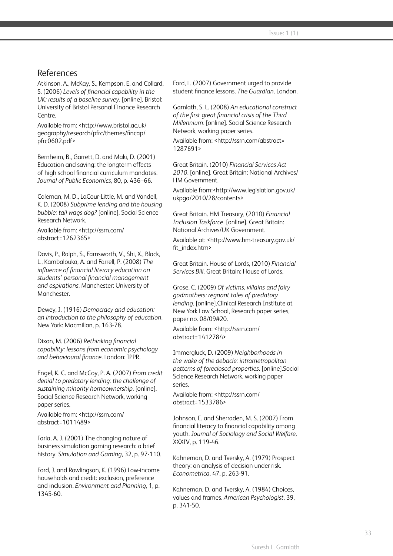### References

Atkinson, A., McKay, S., Kempson, E. and Collard, S. (2006) *Levels of financial capability in the UK: results of a baseline survey.* [online]. Bristol: University of Bristol Personal Finance Research Centre.

Available from: <http://www.bristol.ac.uk/ geography/research/pfrc/themes/fincap/ pfrc0602.pdf>

Bernheim, B., Garrett, D. and Maki, D. (2001) Education and saving: the longterm effects of high school financial curriculum mandates. *Journal of Public Economics,* 80, p. 436–66.

Coleman, M. D., LaCour-Little, M. and Vandell, K. D. (2008) *Subprime lending and the housing bubble: tail wags dog?* [online], Social Science Research Network.

Available from: <http://ssrn.com/ abstract=1262365>

Davis, P., Ralph, S., Farnsworth, V., Shi, X., Black, L., Kambalouka, A. and Farrell, P. (2008) *The influence of financial literacy education on students' personal financial management and aspirations.* Manchester: University of Manchester.

Dewey, J. (1916) *Democracy and education: an introduction to the philosophy of education.*  New York: Macmillan, p. 163-78.

Dixon, M. (2006) *Rethinking financial capability: lessons from economic psychology and behavioural finance.* London: IPPR.

Engel, K. C. and McCoy, P. A. (2007) *From credit denial to predatory lending: the challenge of sustaining minority homeownership.* [online]. Social Science Research Network, working paper series.

Available from: <http://ssrn.com/ abstract=1011489>

Faria, A. J. (2001) The changing nature of business simulation gaming research: a brief history. *Simulation and Gaming,* 32, p. 97-110.

Ford, J. and Rowlingson, K. (1996) Low-income households and credit: exclusion, preference and inclusion. *Environment and Planning,* 1, p. 1345-60.

Ford, L. (2007) Government urged to provide student finance lessons. *The Guardian*. London.

Gamlath, S. L. (2008) *An educational construct of the first great financial crisis of the Third Millennium.* [online]. Social Science Research Network, working paper series.

Available from: <http://ssrn.com/abstract= 1287691>

Great Britain. (2010) *Financial Services Act 2010.* [online]. Great Britain: National Archives/ HM Government.

Available from:<http://www.legislation.gov.uk/ ukpga/2010/28/contents>

Great Britain. HM Treasury, (2010) *Financial Inclusion Taskforce.* [online]. Great Britain: National Archives/UK Government. Available at: <http://www.hm-treasury.gov.uk/ fit\_index.htm>

Great Britain. House of Lords, (2010) *Financial Services Bill.* Great Britain: House of Lords.

Grose, C. (2009) *Of victims, villains and fairy godmothers: regnant tales of predatory lending.* [online].Clinical Research Institute at New York Law School, Research paper series, paper no. 08/09#20.

Available from: <http://ssrn.com/ abstract=1412784>

Immergluck, D. (2009) *Neighborhoods in the wake of the debacle: intrametropolitan patterns of foreclosed properties.* [online].Social Science Research Network, working paper series.

Available from: <http://ssrn.com/ abstract=1533786>

Johnson, E. and Sherraden, M. S. (2007) From financial literacy to financial capability among youth. *Journal of Sociology and Social Welfare,*  XXXIV, p. 119-46.

Kahneman, D. and Tversky, A. (1979) Prospect theory: an analysis of decision under risk. *Econometrica*, 47, p. 263-91.

Kahneman, D. and Tversky, A. (1984) Choices, values and frames. *American Psychologist,* 39, p. 341-50.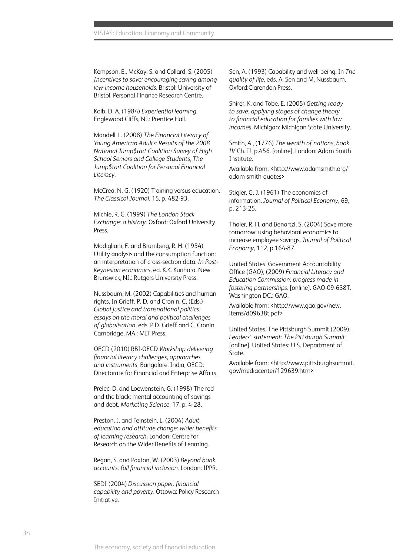Kempson, E., McKay, S. and Collard, S. (2005) *Incentives to save: encouraging saving among low-income households.* Bristol: University of Bristol, Personal Finance Research Centre.

Kolb, D. A. (1984) *Experiential learning*. Englewood Cliffs, NJ.: Prentice Hall.

Mandell, L. (2008) *The Financial Literacy of Young American Adults: Results of the 2008 National Jump\$tart Coalition Survey of High School Seniors and College Students, The Jump\$tart Coalition for Personal Financial Literacy.*

McCrea, N. G. (1920) Training versus education. *The Classical Journal*, 15, p. 482-93.

Michie, R. C. (1999) *The London Stock Exchange: a history.* Oxford: Oxford University Press.

Modigliani, F. and Brumberg, R. H. (1954) Utility analysis and the consumption function: an interpretation of cross-section data. *In Post-Keynesian economics,* ed. K.K. Kurihara. New Brunswick, NJ.: Rutgers University Press.

Nussbaum, M. (2002) Capabilities and human rights. In Grieff, P. D. and Cronin, C. (Eds.) *Global justice and transnational politics: essays on the moral and political challenges of globalisation,* eds. P.D. Grieff and C. Cronin. Cambridge, MA.: MIT Press.

OECD (2010) RBI-OECD *Workshop delivering financial literacy challenges, approaches and instruments.* Bangalore, India, OECD: Directorate for Financial and Enterprise Affairs.

Prelec, D. and Loewenstein, G. (1998) The red and the black: mental accounting of savings and debt. *Marketing Science,* 17, p. 4-28.

Preston, J. and Feinstein, L. (2004) *Adult education and attitude change: wider benefits of learning research.* London: Centre for Research on the Wider Benefits of Learning.

Regan, S. and Paxton, W. (2003) *Beyond bank accounts: full financial inclusion.* London: IPPR.

SEDI (2004) *Discussion paper: financial capability and poverty.* Ottowa: Policy Research Initiative.

Sen, A. (1993) Capability and well-being. In *The quality of life,* eds. A. Sen and M. Nussbaum. Oxford:Clarendon Press.

Shirer, K. and Tobe, E. (2005) *Getting ready to save: applying stages of change theory to financial education for families with low incomes.* Michigan: Michigan State University.

Smith, A., (1776) *The wealth of nations, book IV* Ch. II, p.456. [online]. London: Adam Smith Institute.

Available from: <http://www.adamsmith.org/ adam-smith-quotes>

Stigler, G. J. (1961) The economics of information. *Journal of Political Economy,* 69, p. 213-25.

Thaler, R. H. and Benartzi, S. (2004) Save more tomorrow: using behavioral economics to increase employee savings. *Journal of Political Economy,* 112, p.164-87.

United States. Government Accountability Office (GAO), (2009) *Financial Literacy and Education Commission: progress made in fostering partnerships.* [online]. GAO-09-638T. Washington DC.: GAO.

Available from: <http://www.gao.gov/new. items/d09638t.pdf>

United States. The Pittsburgh Summit (2009). *Leaders' statement: The Pittsburgh Summit.*  [online]. United States: U.S. Department of State.

Available from: <http://www.pittsburghsummit. gov/mediacenter/129639.htm>